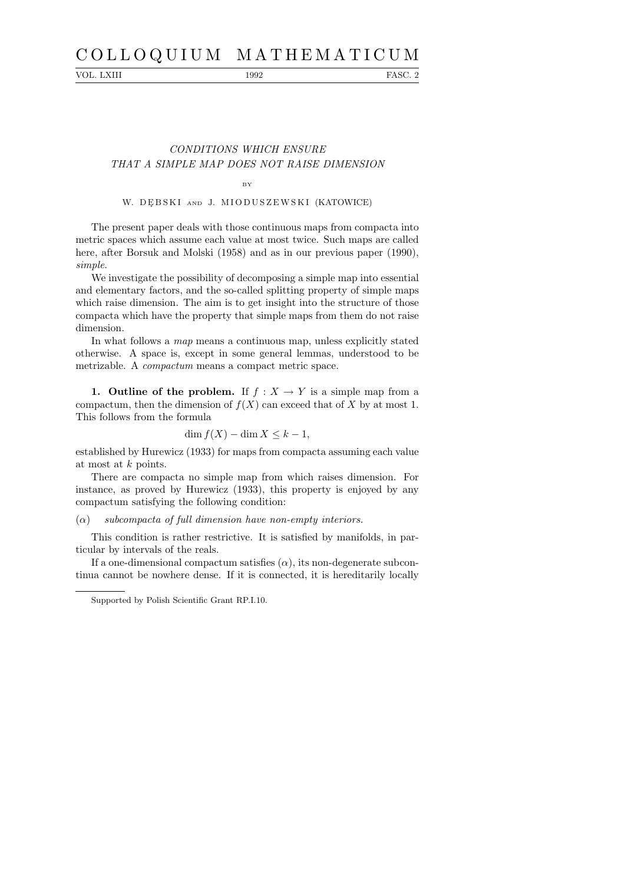# C O L L O Q U I U M M A T H E M A T I C U M

VOL. LXIII 1992 FASC. 2

## CONDITIONS WHICH ENSURE THAT A SIMPLE MAP DOES NOT RAISE DIMENSION

#### BY

#### W. DĘBSKI AND J. MIODUSZEWSKI (KATOWICE)

The present paper deals with those continuous maps from compacta into metric spaces which assume each value at most twice. Such maps are called here, after Borsuk and Molski (1958) and as in our previous paper (1990), simple.

We investigate the possibility of decomposing a simple map into essential and elementary factors, and the so-called splitting property of simple maps which raise dimension. The aim is to get insight into the structure of those compacta which have the property that simple maps from them do not raise dimension.

In what follows a map means a continuous map, unless explicitly stated otherwise. A space is, except in some general lemmas, understood to be metrizable. A compactum means a compact metric space.

1. Outline of the problem. If  $f : X \to Y$  is a simple map from a compactum, then the dimension of  $f(X)$  can exceed that of X by at most 1. This follows from the formula

### $\dim f(X) - \dim X \leq k - 1$ ,

established by Hurewicz (1933) for maps from compacta assuming each value at most at k points.

There are compacta no simple map from which raises dimension. For instance, as proved by Hurewicz (1933), this property is enjoyed by any compactum satisfying the following condition:

#### $\alpha$  subcompacta of full dimension have non-empty interiors.

This condition is rather restrictive. It is satisfied by manifolds, in particular by intervals of the reals.

If a one-dimensional compactum satisfies  $(\alpha)$ , its non-degenerate subcontinua cannot be nowhere dense. If it is connected, it is hereditarily locally

Supported by Polish Scientific Grant RP.I.10.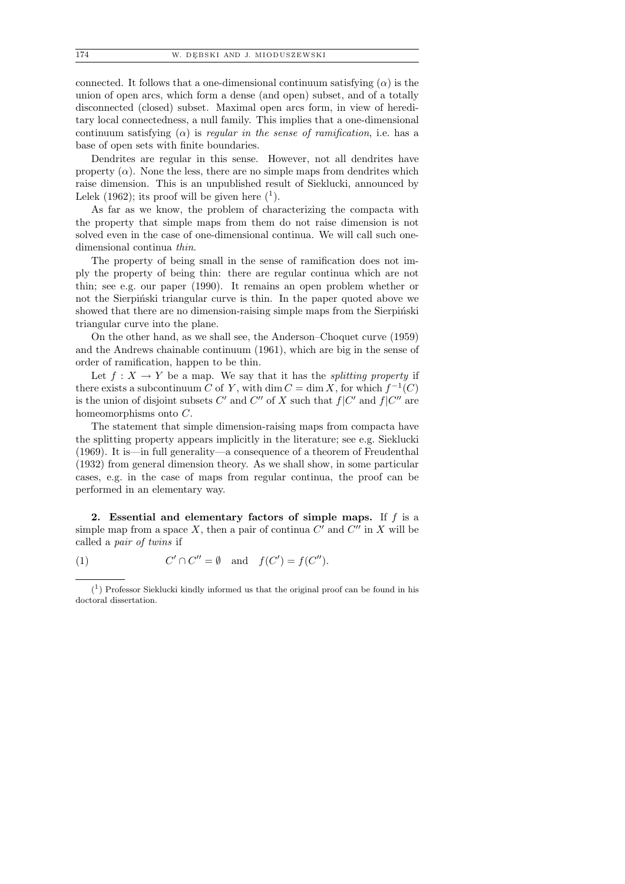connected. It follows that a one-dimensional continuum satisfying  $(\alpha)$  is the union of open arcs, which form a dense (and open) subset, and of a totally disconnected (closed) subset. Maximal open arcs form, in view of hereditary local connectedness, a null family. This implies that a one-dimensional continuum satisfying  $(\alpha)$  is *regular in the sense of ramification*, i.e. has a base of open sets with finite boundaries.

Dendrites are regular in this sense. However, not all dendrites have property  $(\alpha)$ . None the less, there are no simple maps from dendrites which raise dimension. This is an unpublished result of Sieklucki, announced by Lelek  $(1962)$ ; its proof will be given here  $(1)$ .

As far as we know, the problem of characterizing the compacta with the property that simple maps from them do not raise dimension is not solved even in the case of one-dimensional continua. We will call such onedimensional continua thin.

The property of being small in the sense of ramification does not imply the property of being thin: there are regular continua which are not thin; see e.g. our paper (1990). It remains an open problem whether or not the Sierpiński triangular curve is thin. In the paper quoted above we showed that there are no dimension-raising simple maps from the Sierpinski triangular curve into the plane.

On the other hand, as we shall see, the Anderson–Choquet curve (1959) and the Andrews chainable continuum (1961), which are big in the sense of order of ramification, happen to be thin.

Let  $f: X \to Y$  be a map. We say that it has the *splitting property* if there exists a subcontinuum C of Y, with  $\dim C = \dim X$ , for which  $f^{-1}(C)$ is the union of disjoint subsets C' and C'' of X such that  $f|C'$  and  $f|C''$  are homeomorphisms onto C.

The statement that simple dimension-raising maps from compacta have the splitting property appears implicitly in the literature; see e.g. Sieklucki (1969). It is—in full generality—a consequence of a theorem of Freudenthal (1932) from general dimension theory. As we shall show, in some particular cases, e.g. in the case of maps from regular continua, the proof can be performed in an elementary way.

2. Essential and elementary factors of simple maps. If  $f$  is a simple map from a space X, then a pair of continua  $C'$  and  $C''$  in X will be called a pair of twins if

 $(1)$  $f \cap C'' = \emptyset$  and  $f(C') = f(C'').$ 

<sup>(</sup> 1 ) Professor Sieklucki kindly informed us that the original proof can be found in his doctoral dissertation.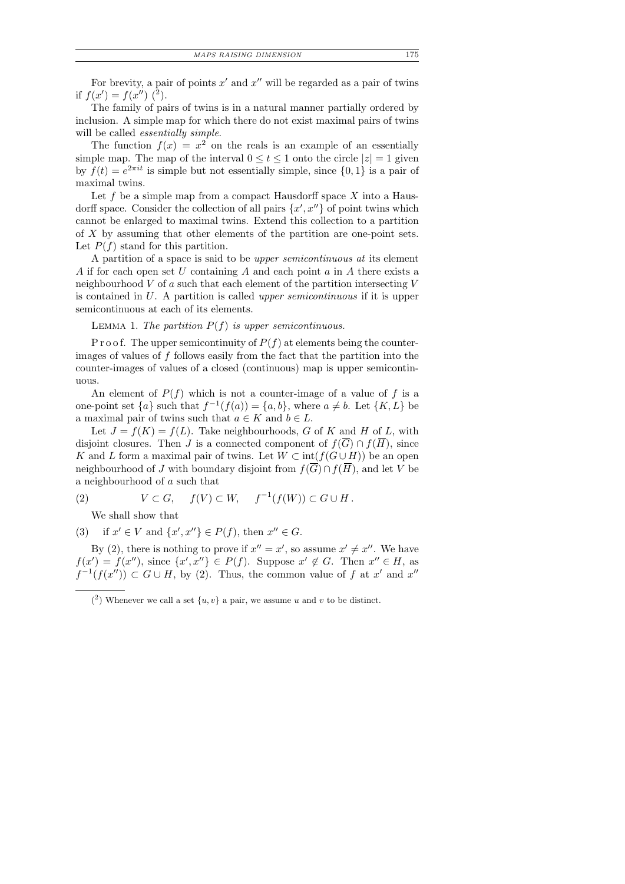For brevity, a pair of points  $x'$  and  $x''$  will be regarded as a pair of twins if  $f(x') = f(x'')$  (2).

The family of pairs of twins is in a natural manner partially ordered by inclusion. A simple map for which there do not exist maximal pairs of twins will be called *essentially simple*.

The function  $f(x) = x^2$  on the reals is an example of an essentially simple map. The map of the interval  $0 \le t \le 1$  onto the circle  $|z| = 1$  given by  $f(t) = e^{2\pi i t}$  is simple but not essentially simple, since  $\{0, 1\}$  is a pair of maximal twins.

Let f be a simple map from a compact Hausdorff space  $X$  into a Hausdorff space. Consider the collection of all pairs  $\{x', x''\}$  of point twins which cannot be enlarged to maximal twins. Extend this collection to a partition of X by assuming that other elements of the partition are one-point sets. Let  $P(f)$  stand for this partition.

A partition of a space is said to be upper semicontinuous at its element A if for each open set U containing A and each point a in A there exists a neighbourhood  $V$  of  $a$  such that each element of the partition intersecting  $V$ is contained in U. A partition is called upper semicontinuous if it is upper semicontinuous at each of its elements.

LEMMA 1. The partition  $P(f)$  is upper semicontinuous.

P r o o f. The upper semicontinuity of  $P(f)$  at elements being the counterimages of values of f follows easily from the fact that the partition into the counter-images of values of a closed (continuous) map is upper semicontinuous.

An element of  $P(f)$  which is not a counter-image of a value of f is a one-point set  $\{a\}$  such that  $f^{-1}(f(a)) = \{a, b\}$ , where  $a \neq b$ . Let  $\{K, L\}$  be a maximal pair of twins such that  $a \in K$  and  $b \in L$ .

Let  $J = f(K) = f(L)$ . Take neighbourhoods, G of K and H of L, with disjoint closures. Then J is a connected component of  $f(\overline{G}) \cap f(\overline{H})$ , since K and L form a maximal pair of twins. Let  $W \subset \text{int}(f(G \cup H))$  be an open neighbourhood of J with boundary disjoint from  $f(\overline{G}) \cap f(\overline{H})$ , and let V be a neighbourhood of a such that

(2)  $V \subset G$ ,  $f(V) \subset W$ ,  $f^{-1}(f(W)) \subset G \cup H$ .

We shall show that

(3) if  $x' \in V$  and  $\{x', x''\} \in P(f)$ , then  $x'' \in G$ .

By (2), there is nothing to prove if  $x'' = x'$ , so assume  $x' \neq x''$ . We have  $f(x') = f(x'')$ , since  $\{x', x''\} \in P(f)$ . Suppose  $x' \notin G$ . Then  $x'' \in H$ , as  $f^{-1}(f(x'')) \subset G \cup H$ , by (2). Thus, the common value of f at x' and x''

 $(2)$  Whenever we call a set  $\{u, v\}$  a pair, we assume u and v to be distinct.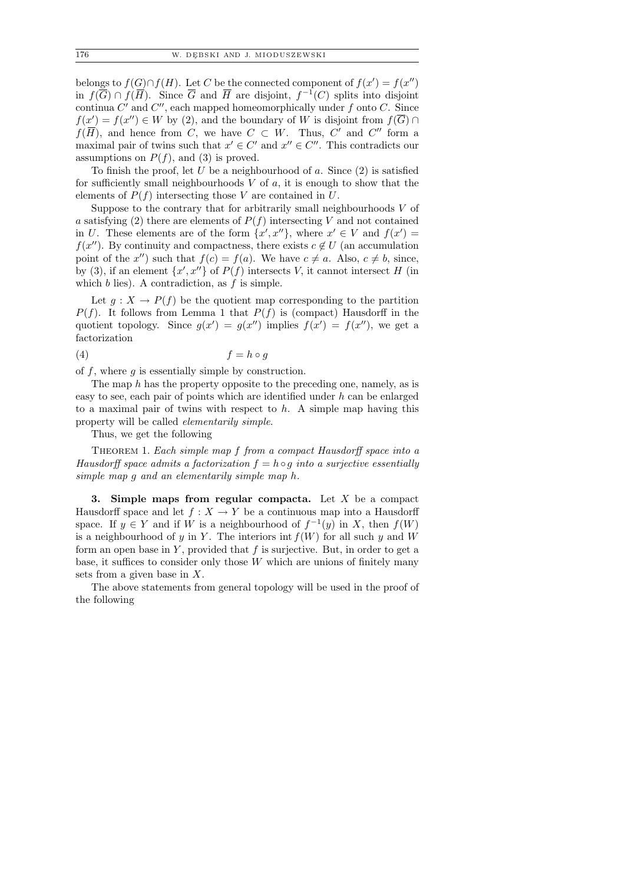belongs to  $f(G) \cap f(H)$ . Let C be the connected component of  $f(x') = f(x'')$ in  $f(\overline{G}) \cap f(\overline{H})$ . Since  $\overline{G}$  and  $\overline{H}$  are disjoint,  $f^{-1}(C)$  splits into disjoint continua  $C'$  and  $C''$ , each mapped homeomorphically under f onto  $C$ . Since  $f(x') = f(x'') \in W$  by (2), and the boundary of W is disjoint from  $f(\overline{G}) \cap$  $f(\overline{H})$ , and hence from C, we have  $C \subset W$ . Thus, C' and C'' form a maximal pair of twins such that  $x' \in C'$  and  $x'' \in C''$ . This contradicts our assumptions on  $P(f)$ , and (3) is proved.

To finish the proof, let U be a neighbourhood of a. Since  $(2)$  is satisfied for sufficiently small neighbourhoods  $V$  of  $a$ , it is enough to show that the elements of  $P(f)$  intersecting those V are contained in U.

Suppose to the contrary that for arbitrarily small neighbourhoods  $V$  of a satisfying (2) there are elements of  $P(f)$  intersecting V and not contained in U. These elements are of the form  $\{x', x''\}$ , where  $x' \in V$  and  $f(x') =$  $f(x'')$ . By continuity and compactness, there exists  $c \notin U$  (an accumulation point of the x'') such that  $f(c) = f(a)$ . We have  $c \neq a$ . Also,  $c \neq b$ , since, by (3), if an element  $\{x', x''\}$  of  $P(f)$  intersects V, it cannot intersect H (in which  $b$  lies). A contradiction, as  $f$  is simple.

Let  $q: X \to P(f)$  be the quotient map corresponding to the partition  $P(f)$ . It follows from Lemma 1 that  $P(f)$  is (compact) Hausdorff in the quotient topology. Since  $g(x') = g(x'')$  implies  $f(x') = f(x'')$ , we get a factorization

$$
(4) \t\t f = h \circ g
$$

of f, where  $q$  is essentially simple by construction.

The map  $h$  has the property opposite to the preceding one, namely, as is easy to see, each pair of points which are identified under h can be enlarged to a maximal pair of twins with respect to  $h$ . A simple map having this property will be called elementarily simple.

Thus, we get the following

THEOREM 1. Each simple map f from a compact Hausdorff space into a Hausdorff space admits a factorization  $f = h \circ g$  into a surjective essentially simple map g and an elementarily simple map h.

3. Simple maps from regular compacta. Let  $X$  be a compact Hausdorff space and let  $f : X \to Y$  be a continuous map into a Hausdorff space. If  $y \in Y$  and if W is a neighbourhood of  $f^{-1}(y)$  in X, then  $f(W)$ is a neighbourhood of y in Y. The interiors int  $f(W)$  for all such y and W form an open base in  $Y$ , provided that  $f$  is surjective. But, in order to get a base, it suffices to consider only those  $W$  which are unions of finitely many sets from a given base in X.

The above statements from general topology will be used in the proof of the following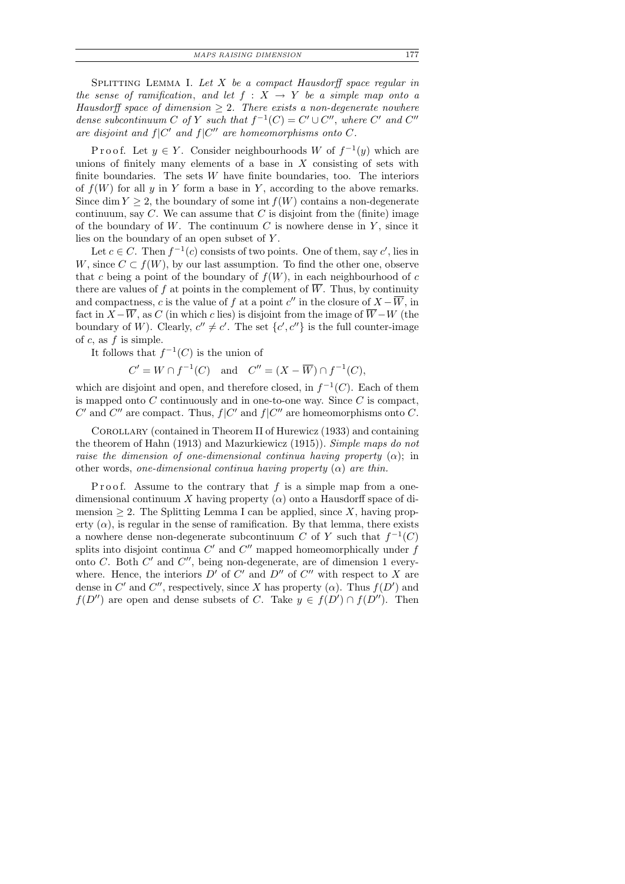SPLITTING LEMMA I. Let  $X$  be a compact Hausdorff space regular in the sense of ramification, and let  $f : X \rightarrow Y$  be a simple map onto a Hausdorff space of dimension  $\geq 2$ . There exists a non-degenerate nowhere dense subcontinuum C of Y such that  $f^{-1}(C) = C' \cup C''$ , where C' and C'' are disjoint and  $f|C'$  and  $f|C''$  are homeomorphisms onto C.

Proof. Let  $y \in Y$ . Consider neighbourhoods W of  $f^{-1}(y)$  which are unions of finitely many elements of a base in  $X$  consisting of sets with finite boundaries. The sets  $W$  have finite boundaries, too. The interiors of  $f(W)$  for all y in Y form a base in Y, according to the above remarks. Since dim  $Y \geq 2$ , the boundary of some int  $f(W)$  contains a non-degenerate continuum, say  $C$ . We can assume that  $C$  is disjoint from the (finite) image of the boundary of W. The continuum  $C$  is nowhere dense in  $Y$ , since it lies on the boundary of an open subset of Y .

Let  $c \in C$ . Then  $f^{-1}(c)$  consists of two points. One of them, say  $c'$ , lies in W, since  $C \subset f(W)$ , by our last assumption. To find the other one, observe that c being a point of the boundary of  $f(W)$ , in each neighbourhood of c there are values of f at points in the complement of  $\overline{W}$ . Thus, by continuity and compactness, c is the value of f at a point  $c''$  in the closure of  $X - \overline{W}$ , in fact in  $X-\overline{W}$ , as C (in which c lies) is disjoint from the image of  $\overline{W}-W$  (the boundary of W). Clearly,  $c'' \neq c'$ . The set  $\{c', c''\}$  is the full counter-image of  $c$ , as  $f$  is simple.

It follows that  $f^{-1}(C)$  is the union of

 $C' = W \cap f^{-1}(C)$  and  $C'' = (X - \overline{W}) \cap f^{-1}(C)$ ,

which are disjoint and open, and therefore closed, in  $f^{-1}(C)$ . Each of them is mapped onto  $C$  continuously and in one-to-one way. Since  $C$  is compact, C' and C'' are compact. Thus,  $f|C'$  and  $f|C''$  are homeomorphisms onto C.

Corollary (contained in Theorem II of Hurewicz (1933) and containing the theorem of Hahn (1913) and Mazurkiewicz (1915)). Simple maps do not raise the dimension of one-dimensional continua having property  $(\alpha)$ ; in other words, one-dimensional continua having property  $(\alpha)$  are thin.

P r o o f. Assume to the contrary that  $f$  is a simple map from a onedimensional continuum X having property  $(\alpha)$  onto a Hausdorff space of dimension  $\geq 2$ . The Splitting Lemma I can be applied, since X, having property  $(\alpha)$ , is regular in the sense of ramification. By that lemma, there exists a nowhere dense non-degenerate subcontinuum C of Y such that  $f^{-1}(C)$ splits into disjoint continua  $C'$  and  $C''$  mapped homeomorphically under  $f$ onto C. Both  $C'$  and  $C''$ , being non-degenerate, are of dimension 1 everywhere. Hence, the interiors  $D'$  of  $C'$  and  $D''$  of  $C''$  with respect to X are dense in C' and C'', respectively, since X has property  $(\alpha)$ . Thus  $f(D')$  and  $f(D'')$  are open and dense subsets of C. Take  $y \in f(D') \cap f(D'')$ . Then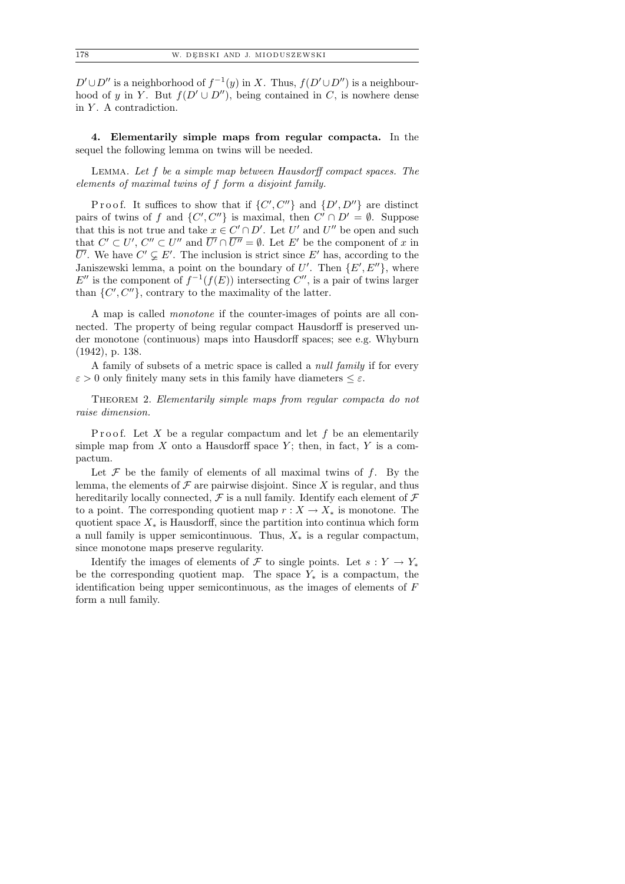$D' \cup D''$  is a neighborhood of  $f^{-1}(y)$  in X. Thus,  $f(D' \cup D'')$  is a neighbourhood of y in Y. But  $f(D' \cup D'')$ , being contained in C, is nowhere dense in  $Y$ . A contradiction.

4. Elementarily simple maps from regular compacta. In the sequel the following lemma on twins will be needed.

Lemma. Let f be a simple map between Hausdorff compact spaces. The elements of maximal twins of f form a disjoint family.

Proof. It suffices to show that if  $\{C', C''\}$  and  $\{D', D''\}$  are distinct pairs of twins of f and  $\{C', C''\}$  is maximal, then  $C' \cap D' = \emptyset$ . Suppose that this is not true and take  $x \in C' \cap D'$ . Let U' and U'' be open and such that  $C' \subset U'$ ,  $C'' \subset U''$  and  $\overline{U'} \cap \overline{U''} = \emptyset$ . Let E' be the component of x in  $\overline{U'}$ . We have  $C' \subsetneq E'$ . The inclusion is strict since E' has, according to the Janiszewski lemma, a point on the boundary of U'. Then  $\{E', E''\}$ , where E'' is the component of  $f^{-1}(f(E))$  intersecting C'', is a pair of twins larger than  $\{C', C''\}$ , contrary to the maximality of the latter.

A map is called monotone if the counter-images of points are all connected. The property of being regular compact Hausdorff is preserved under monotone (continuous) maps into Hausdorff spaces; see e.g. Whyburn (1942), p. 138.

A family of subsets of a metric space is called a null family if for every  $\varepsilon > 0$  only finitely many sets in this family have diameters  $\leq \varepsilon$ .

THEOREM 2. Elementarily simple maps from regular compacta do not raise dimension.

P r o o f. Let X be a regular compactum and let f be an elementarily simple map from  $X$  onto a Hausdorff space  $Y$ ; then, in fact,  $Y$  is a compactum.

Let  $\mathcal F$  be the family of elements of all maximal twins of  $f$ . By the lemma, the elements of  $\mathcal F$  are pairwise disjoint. Since X is regular, and thus hereditarily locally connected,  $\mathcal F$  is a null family. Identify each element of  $\mathcal F$ to a point. The corresponding quotient map  $r : X \to X_*$  is monotone. The quotient space  $X_*$  is Hausdorff, since the partition into continua which form a null family is upper semicontinuous. Thus,  $X_*$  is a regular compactum, since monotone maps preserve regularity.

Identify the images of elements of F to single points. Let  $s: Y \to Y_*$ be the corresponding quotient map. The space  $Y_*$  is a compactum, the identification being upper semicontinuous, as the images of elements of F form a null family.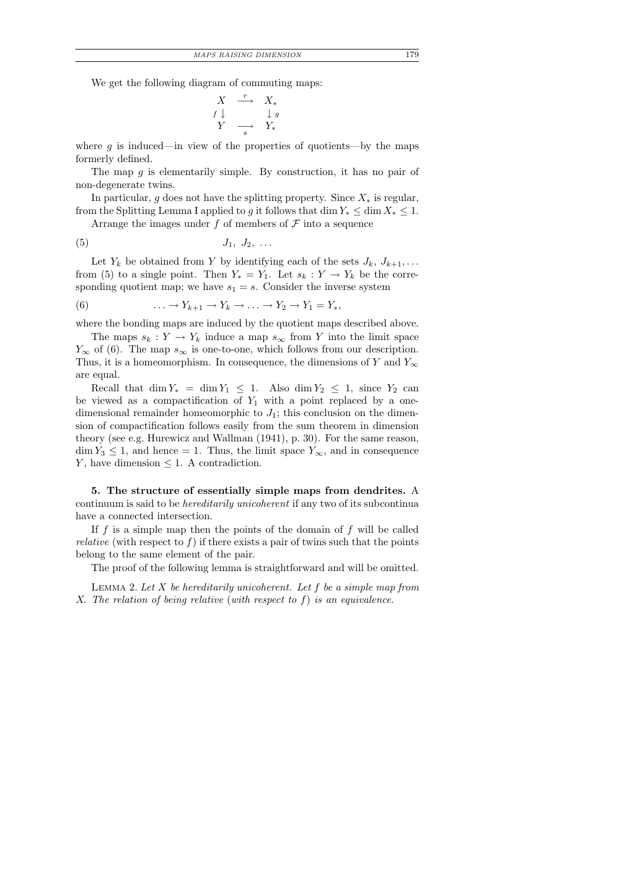$$
\begin{array}{ccc}\nX & \xrightarrow{r} & X_* \\
f \downarrow & & \downarrow g \\
Y & \xrightarrow{s} & Y_*\n\end{array}
$$

where  $g$  is induced—in view of the properties of quotients—by the maps formerly defined.

The map  $g$  is elementarily simple. By construction, it has no pair of non-degenerate twins.

In particular, g does not have the splitting property. Since  $X_*$  is regular, from the Splitting Lemma I applied to g it follows that dim  $Y_* \leq \dim X_* \leq 1$ .

Arrange the images under f of members of  $\mathcal F$  into a sequence

$$
(5) \t\t J_1, J_2, \ldots
$$

Let  $Y_k$  be obtained from Y by identifying each of the sets  $J_k, J_{k+1}, \ldots$ from (5) to a single point. Then  $Y_* = Y_1$ . Let  $s_k : Y \to Y_k$  be the corresponding quotient map; we have  $s_1 = s$ . Consider the inverse system

(6) 
$$
\ldots \to Y_{k+1} \to Y_k \to \ldots \to Y_2 \to Y_1 = Y_*,
$$

where the bonding maps are induced by the quotient maps described above.

The maps  $s_k : Y \to Y_k$  induce a map  $s_{\infty}$  from Y into the limit space  $Y_{\infty}$  of (6). The map  $s_{\infty}$  is one-to-one, which follows from our description. Thus, it is a homeomorphism. In consequence, the dimensions of Y and  $Y_{\infty}$ are equal.

Recall that  $\dim Y_* = \dim Y_1 \leq 1$ . Also  $\dim Y_2 \leq 1$ , since  $Y_2$  can be viewed as a compactification of  $Y_1$  with a point replaced by a onedimensional remainder homeomorphic to  $J_1$ ; this conclusion on the dimension of compactification follows easily from the sum theorem in dimension theory (see e.g. Hurewicz and Wallman (1941), p. 30). For the same reason,  $\dim Y_3 \leq 1$ , and hence = 1. Thus, the limit space  $Y_{\infty}$ , and in consequence Y, have dimension  $\leq$  1. A contradiction.

5. The structure of essentially simple maps from dendrites. A continuum is said to be hereditarily unicoherent if any two of its subcontinua have a connected intersection.

If  $f$  is a simple map then the points of the domain of  $f$  will be called *relative* (with respect to  $f$ ) if there exists a pair of twins such that the points belong to the same element of the pair.

The proof of the following lemma is straightforward and will be omitted.

LEMMA 2. Let  $X$  be hereditarily unicoherent. Let  $f$  be a simple map from X. The relation of being relative (with respect to f) is an equivalence.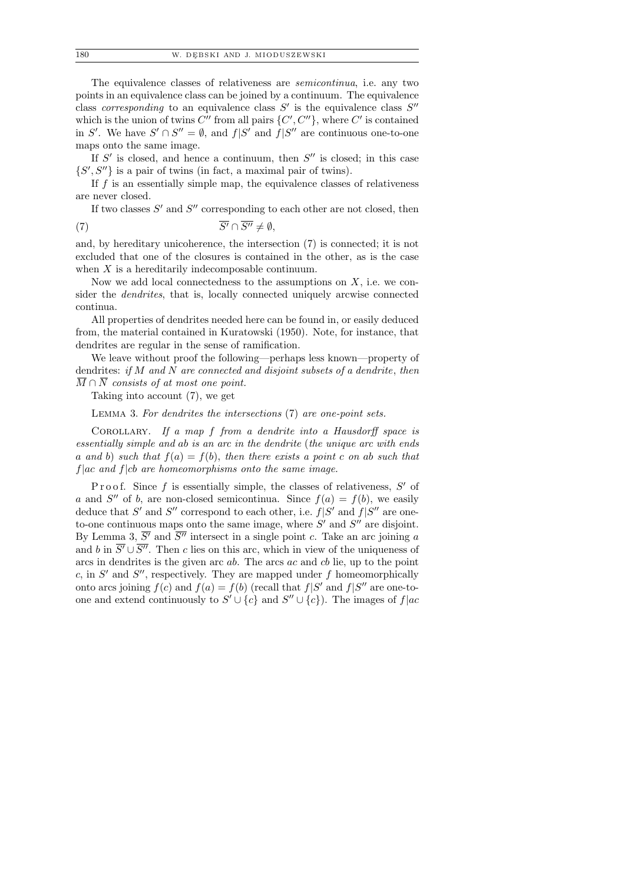The equivalence classes of relativeness are semicontinua, i.e. any two points in an equivalence class can be joined by a continuum. The equivalence class corresponding to an equivalence class  $S'$  is the equivalence class  $S''$ which is the union of twins  $C''$  from all pairs  $\{C', C''\}$ , where  $C'$  is contained in S'. We have  $S' \cap S'' = \emptyset$ , and  $f|S'$  and  $f|S''$  are continuous one-to-one maps onto the same image.

If  $S'$  is closed, and hence a continuum, then  $S''$  is closed; in this case  $\{S', S''\}$  is a pair of twins (in fact, a maximal pair of twins).

If  $f$  is an essentially simple map, the equivalence classes of relativeness are never closed.

If two classes  $S'$  and  $S''$  corresponding to each other are not closed, then (7)  $\overline{S'} \cap \overline{S''} \neq \emptyset$ ,

and, by hereditary unicoherence, the intersection (7) is connected; it is not excluded that one of the closures is contained in the other, as is the case when  $X$  is a hereditarily indecomposable continuum.

Now we add local connectedness to the assumptions on  $X$ , i.e. we consider the *dendrites*, that is, locally connected uniquely arcwise connected continua.

All properties of dendrites needed here can be found in, or easily deduced from, the material contained in Kuratowski (1950). Note, for instance, that dendrites are regular in the sense of ramification.

We leave without proof the following—perhaps less known—property of dendrites: if  $M$  and  $N$  are connected and disjoint subsets of a dendrite, then  $\overline{M} \cap \overline{N}$  consists of at most one point.

Taking into account (7), we get

Lemma 3. For dendrites the intersections (7) are one-point sets.

COROLLARY. If a map f from a dendrite into a Hausdorff space is essentially simple and ab is an arc in the dendrite (the unique arc with ends a and b) such that  $f(a) = f(b)$ , then there exists a point c on ab such that  $f|ac$  and  $f|cb$  are homeomorphisms onto the same image.

Proof. Since  $f$  is essentially simple, the classes of relativeness,  $S'$  of a and S'' of b, are non-closed semicontinua. Since  $f(a) = f(b)$ , we easily deduce that S' and S'' correspond to each other, i.e.  $f|S'$  and  $f|S''$  are oneto-one continuous maps onto the same image, where  $S'$  and  $S''$  are disjoint. By Lemma 3,  $\overline{S'}$  and  $\overline{S''}$  intersect in a single point c. Take an arc joining a and b in  $\overline{S'} \cup \overline{S''}$ . Then c lies on this arc, which in view of the uniqueness of arcs in dendrites is the given arc  $ab$ . The arcs  $ac$  and  $cb$  lie, up to the point c, in  $S'$  and  $S''$ , respectively. They are mapped under f homeomorphically onto arcs joining  $f(c)$  and  $f(a) = f(b)$  (recall that  $f|S'$  and  $f|S''$  are one-toone and extend continuously to  $S' \cup \{c\}$  and  $S'' \cup \{c\}$ ). The images of  $f|ac$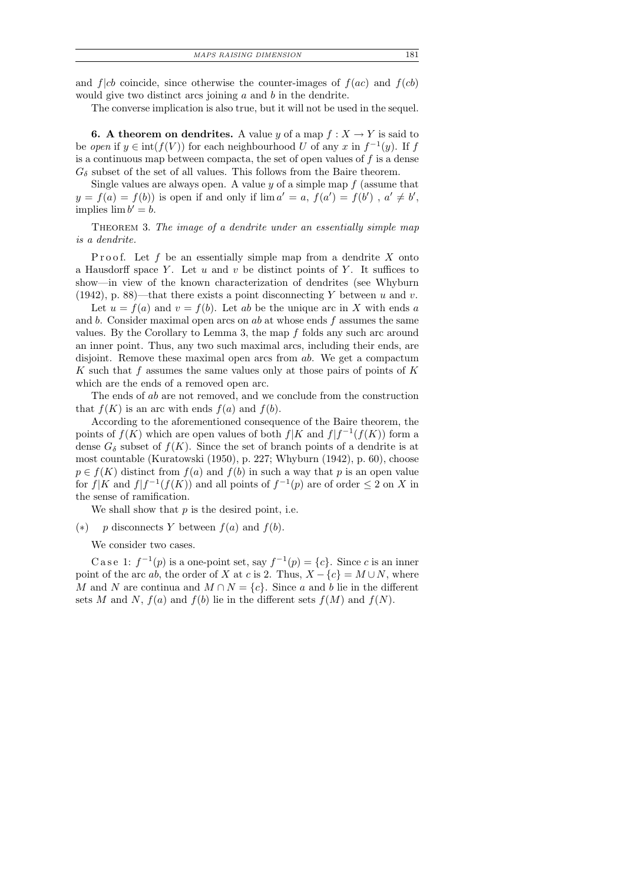and  $f|cb$  coincide, since otherwise the counter-images of  $f(ac)$  and  $f(cb)$ would give two distinct arcs joining  $a$  and  $b$  in the dendrite.

The converse implication is also true, but it will not be used in the sequel.

**6.** A theorem on dendrites. A value y of a map  $f: X \to Y$  is said to be open if  $y \in \text{int}(f(V))$  for each neighbourhood U of any x in  $f^{-1}(y)$ . If f is a continuous map between compacta, the set of open values of  $f$  is a dense  $G_{\delta}$  subset of the set of all values. This follows from the Baire theorem.

Single values are always open. A value  $y$  of a simple map  $f$  (assume that  $y = f(a) = f(b)$  is open if and only if  $\lim a' = a$ ,  $f(a') = f(b')$ ,  $a' \neq b'$ , implies  $\lim b' = b$ .

THEOREM 3. The image of a dendrite under an essentially simple map is a dendrite.

Proof. Let f be an essentially simple map from a dendrite  $X$  onto a Hausdorff space Y. Let u and v be distinct points of Y. It suffices to show—in view of the known characterization of dendrites (see Whyburn (1942), p. 88)—that there exists a point disconnecting Y between u and v.

Let  $u = f(a)$  and  $v = f(b)$ . Let ab be the unique arc in X with ends a and b. Consider maximal open arcs on  $ab$  at whose ends  $f$  assumes the same values. By the Corollary to Lemma 3, the map f folds any such arc around an inner point. Thus, any two such maximal arcs, including their ends, are disjoint. Remove these maximal open arcs from ab. We get a compactum K such that f assumes the same values only at those pairs of points of K which are the ends of a removed open arc.

The ends of ab are not removed, and we conclude from the construction that  $f(K)$  is an arc with ends  $f(a)$  and  $f(b)$ .

According to the aforementioned consequence of the Baire theorem, the points of  $f(K)$  which are open values of both  $f|K$  and  $f|f^{-1}(f(K))$  form a dense  $G_{\delta}$  subset of  $f(K)$ . Since the set of branch points of a dendrite is at most countable (Kuratowski (1950), p. 227; Whyburn (1942), p. 60), choose  $p \in f(K)$  distinct from  $f(a)$  and  $f(b)$  in such a way that p is an open value for  $f|K$  and  $f|f^{-1}(f(K))$  and all points of  $f^{-1}(p)$  are of order  $\leq 2$  on X in the sense of ramification.

We shall show that  $p$  is the desired point, i.e.

(\*) p disconnects Y between  $f(a)$  and  $f(b)$ .

We consider two cases.

C a s e 1:  $f^{-1}(p)$  is a one-point set, say  $f^{-1}(p) = \{c\}$ . Since c is an inner point of the arc ab, the order of X at c is 2. Thus,  $X - \{c\} = M \cup N$ , where M and N are continua and  $M \cap N = \{c\}$ . Since a and b lie in the different sets M and N,  $f(a)$  and  $f(b)$  lie in the different sets  $f(M)$  and  $f(N)$ .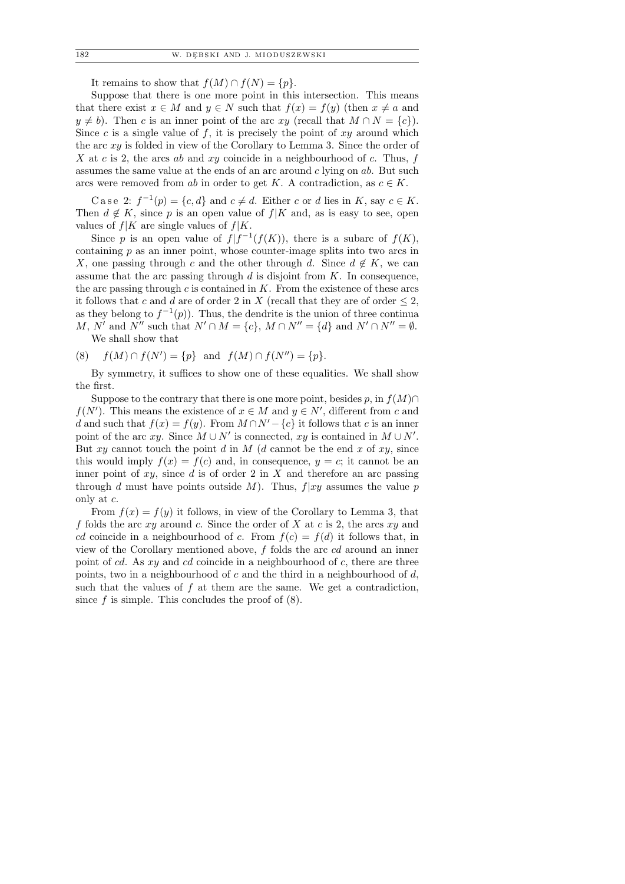It remains to show that  $f(M) \cap f(N) = \{p\}.$ 

Suppose that there is one more point in this intersection. This means that there exist  $x \in M$  and  $y \in N$  such that  $f(x) = f(y)$  (then  $x \neq a$  and  $y \neq b$ . Then c is an inner point of the arc xy (recall that  $M \cap N = \{c\}$ ). Since c is a single value of f, it is precisely the point of  $xy$  around which the arc  $xy$  is folded in view of the Corollary to Lemma 3. Since the order of X at c is 2, the arcs ab and xy coincide in a neighbourhood of c. Thus,  $f$ assumes the same value at the ends of an arc around  $c$  lying on  $ab$ . But such arcs were removed from ab in order to get K. A contradiction, as  $c \in K$ .

Case 2:  $f^{-1}(p) = \{c, d\}$  and  $c \neq d$ . Either c or d lies in K, say  $c \in K$ . Then  $d \notin K$ , since p is an open value of  $f|K$  and, as is easy to see, open values of  $f|K$  are single values of  $f|K$ .

Since p is an open value of  $f|f^{-1}(f(K))$ , there is a subarc of  $f(K)$ , containing  $p$  as an inner point, whose counter-image splits into two arcs in X, one passing through c and the other through d. Since  $d \notin K$ , we can assume that the arc passing through  $d$  is disjoint from  $K$ . In consequence, the arc passing through c is contained in  $K$ . From the existence of these arcs it follows that c and d are of order 2 in X (recall that they are of order  $\leq 2$ , as they belong to  $f^{-1}(p)$ . Thus, the dendrite is the union of three continua M, N' and N'' such that  $N' \cap M = \{c\}$ ,  $M \cap N'' = \{d\}$  and  $N' \cap N'' = \emptyset$ .

We shall show that

(8) 
$$
f(M) \cap f(N') = \{p\}
$$
 and  $f(M) \cap f(N'') = \{p\}.$ 

By symmetry, it suffices to show one of these equalities. We shall show the first.

Suppose to the contrary that there is one more point, besides p, in  $f(M) \cap$  $f(N')$ . This means the existence of  $x \in M$  and  $y \in N'$ , different from c and d and such that  $f(x) = f(y)$ . From  $M \cap N' - \{c\}$  it follows that c is an inner point of the arc xy. Since  $M \cup N'$  is connected, xy is contained in  $M \cup N'$ . But xy cannot touch the point d in  $M$  (d cannot be the end x of xy, since this would imply  $f(x) = f(c)$  and, in consequence,  $y = c$ ; it cannot be an inner point of  $xy$ , since d is of order 2 in X and therefore an arc passing through d must have points outside M). Thus,  $f|xy$  assumes the value p only at c.

From  $f(x) = f(y)$  it follows, in view of the Corollary to Lemma 3, that f folds the arc  $xy$  around c. Since the order of X at c is 2, the arcs  $xy$  and cd coincide in a neighbourhood of c. From  $f(c) = f(d)$  it follows that, in view of the Corollary mentioned above, f folds the arc cd around an inner point of cd. As  $xy$  and cd coincide in a neighbourhood of c, there are three points, two in a neighbourhood of c and the third in a neighbourhood of  $d$ , such that the values of  $f$  at them are the same. We get a contradiction, since  $f$  is simple. This concludes the proof of  $(8)$ .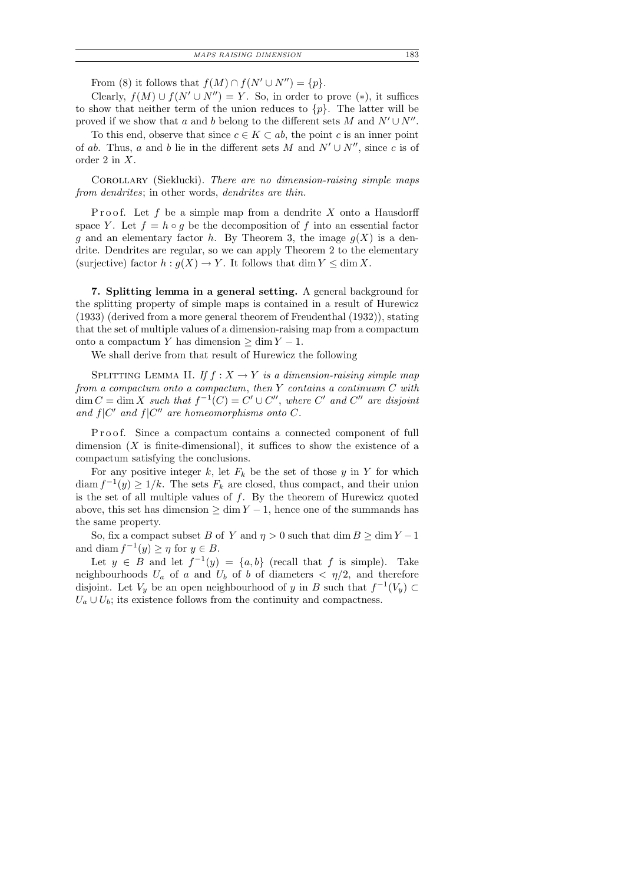| MAPS RAISING DIMENSION |  |
|------------------------|--|
|                        |  |

From (8) it follows that  $f(M) \cap f(N' \cup N'') = \{p\}.$ 

Clearly,  $f(M) \cup f(N' \cup N'') = Y$ . So, in order to prove (\*), it suffices to show that neither term of the union reduces to  $\{p\}$ . The latter will be proved if we show that a and b belong to the different sets M and  $N' \cup N''$ .

To this end, observe that since  $c \in K \subset ab$ , the point c is an inner point of ab. Thus, a and b lie in the different sets M and  $N' \cup N''$ , since c is of order 2 in X.

COROLLARY (Sieklucki). There are no dimension-raising simple maps from dendrites; in other words, dendrites are thin.

P roof. Let f be a simple map from a dendrite  $X$  onto a Hausdorff space Y. Let  $f = h \circ q$  be the decomposition of f into an essential factor g and an elementary factor h. By Theorem 3, the image  $g(X)$  is a dendrite. Dendrites are regular, so we can apply Theorem 2 to the elementary (surjective) factor  $h : g(X) \to Y$ . It follows that dim  $Y \leq \dim X$ .

7. Splitting lemma in a general setting. A general background for the splitting property of simple maps is contained in a result of Hurewicz (1933) (derived from a more general theorem of Freudenthal (1932)), stating that the set of multiple values of a dimension-raising map from a compactum onto a compactum Y has dimension  $≥ \dim Y - 1$ .

We shall derive from that result of Hurewicz the following

SPLITTING LEMMA II. If  $f : X \to Y$  is a dimension-raising simple map from a compactum onto a compactum, then  $Y$  contains a continuum  $C$  with  $\dim C = \dim X$  such that  $f^{-1}(C) = C' \cup C''$ , where  $C'$  and  $C''$  are disjoint and  $f|C'$  and  $f|C''$  are homeomorphisms onto C.

P roof. Since a compactum contains a connected component of full dimension  $(X$  is finite-dimensional), it suffices to show the existence of a compactum satisfying the conclusions.

For any positive integer  $k$ , let  $F_k$  be the set of those y in Y for which diam  $f^{-1}(y) \ge 1/k$ . The sets  $F_k$  are closed, thus compact, and their union is the set of all multiple values of  $f$ . By the theorem of Hurewicz quoted above, this set has dimension  $\geq \dim Y - 1$ , hence one of the summands has the same property.

So, fix a compact subset B of Y and  $\eta > 0$  such that dim  $B \ge \dim Y - 1$ and diam  $f^{-1}(y) \geq \eta$  for  $y \in B$ .

Let  $y \in B$  and let  $f^{-1}(y) = \{a, b\}$  (recall that f is simple). Take neighbourhoods  $U_a$  of a and  $U_b$  of b of diameters  $\langle \eta/2 \rangle$ , and therefore disjoint. Let  $V_y$  be an open neighbourhood of y in B such that  $f^{-1}(V_y) \subset$  $U_a \cup U_b$ ; its existence follows from the continuity and compactness.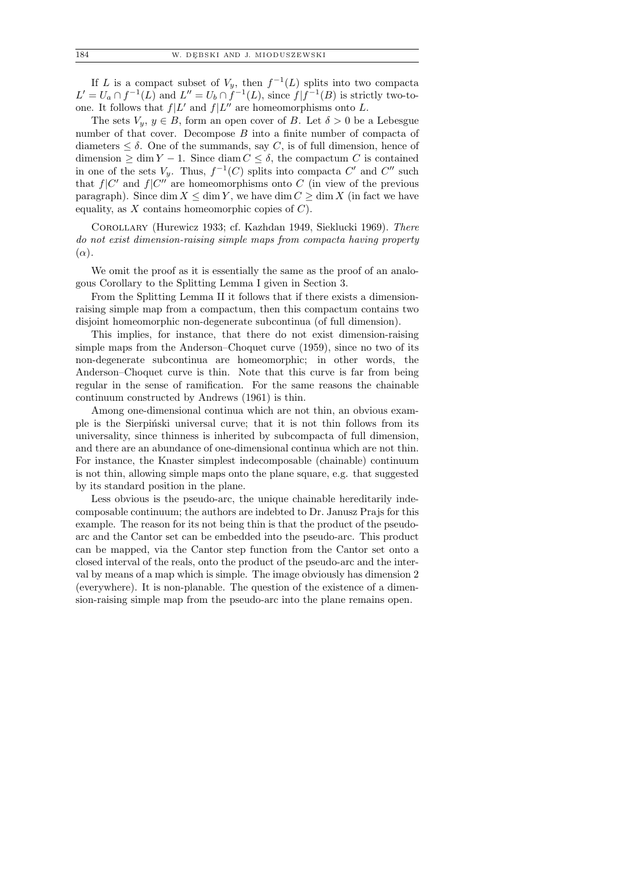If L is a compact subset of  $V_y$ , then  $f^{-1}(L)$  splits into two compacta  $L' = U_a \cap f^{-1}(L)$  and  $L'' = U_b \cap f^{-1}(L)$ , since  $f | f^{-1}(B)$  is strictly two-toone. It follows that  $f|L'$  and  $f|L''$  are homeomorphisms onto L.

The sets  $V_y, y \in B$ , form an open cover of B. Let  $\delta > 0$  be a Lebesgue number of that cover. Decompose B into a finite number of compacta of diameters  $\leq \delta$ . One of the summands, say C, is of full dimension, hence of dimension  $\geq \dim Y - 1$ . Since diam  $C \leq \delta$ , the compactum C is contained in one of the sets  $V_y$ . Thus,  $f^{-1}(C)$  splits into compacta  $C'$  and  $C''$  such that  $f|C'$  and  $f|C''$  are homeomorphisms onto C (in view of the previous paragraph). Since dim  $X \leq \dim Y$ , we have dim  $C \geq \dim X$  (in fact we have equality, as  $X$  contains homeomorphic copies of  $C$ ).

Corollary (Hurewicz 1933; cf. Kazhdan 1949, Sieklucki 1969). There do not exist dimension-raising simple maps from compacta having property  $(\alpha)$ .

We omit the proof as it is essentially the same as the proof of an analogous Corollary to the Splitting Lemma I given in Section 3.

From the Splitting Lemma II it follows that if there exists a dimensionraising simple map from a compactum, then this compactum contains two disjoint homeomorphic non-degenerate subcontinua (of full dimension).

This implies, for instance, that there do not exist dimension-raising simple maps from the Anderson–Choquet curve (1959), since no two of its non-degenerate subcontinua are homeomorphic; in other words, the Anderson–Choquet curve is thin. Note that this curve is far from being regular in the sense of ramification. For the same reasons the chainable continuum constructed by Andrews (1961) is thin.

Among one-dimensional continua which are not thin, an obvious example is the Sierpinski universal curve; that it is not thin follows from its universality, since thinness is inherited by subcompacta of full dimension, and there are an abundance of one-dimensional continua which are not thin. For instance, the Knaster simplest indecomposable (chainable) continuum is not thin, allowing simple maps onto the plane square, e.g. that suggested by its standard position in the plane.

Less obvious is the pseudo-arc, the unique chainable hereditarily indecomposable continuum; the authors are indebted to Dr. Janusz Prajs for this example. The reason for its not being thin is that the product of the pseudoarc and the Cantor set can be embedded into the pseudo-arc. This product can be mapped, via the Cantor step function from the Cantor set onto a closed interval of the reals, onto the product of the pseudo-arc and the interval by means of a map which is simple. The image obviously has dimension 2 (everywhere). It is non-planable. The question of the existence of a dimension-raising simple map from the pseudo-arc into the plane remains open.